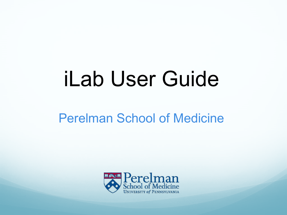# iLab User Guide

### Perelman School of Medicine

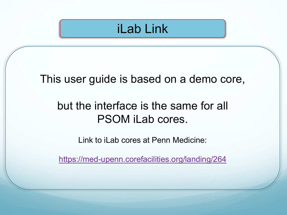## iLab Link

#### This user guide is based on a demo core,

### but the interface is the same for all PSOM iLab cores.

Link to iLab cores at Penn Medicine:

<https://med-upenn.corefacilities.org/landing/264>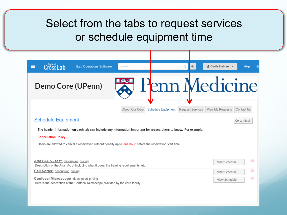### Select from the tabs to request services or schedule equipment time

| Cross <b>Lab</b><br>Ξ<br>iLab Operations Software<br>Search.                                                                                                                                                                                                   | & Curtis Embree v<br>Q<br>Go<br><b>Help</b>        |
|----------------------------------------------------------------------------------------------------------------------------------------------------------------------------------------------------------------------------------------------------------------|----------------------------------------------------|
| Demo Core (UPenn)                                                                                                                                                                                                                                              | <b>Penn Medicine</b>                               |
| About Our Core<br><b>Schedule Equipment</b>                                                                                                                                                                                                                    | Request Services<br>View My Requests<br>Contact Us |
| <b>Schedule Equipment</b>                                                                                                                                                                                                                                      | Go to Kiosk                                        |
|                                                                                                                                                                                                                                                                |                                                    |
| The header information on each tab can include any information important for reasearchers to know. For example:<br><b>Cancellation Policy</b><br>Users are allowed to cancel a reservation without penalty up to 'one hour' before the reservation start time. |                                                    |
| Aria FACS - test description pricing<br>Description of the Aria FACS, including what it does, the training requirements, etc.                                                                                                                                  | $\odot$<br>View Schedule                           |
| Cell Sorter description pricing                                                                                                                                                                                                                                | ಂ<br>View Schedule                                 |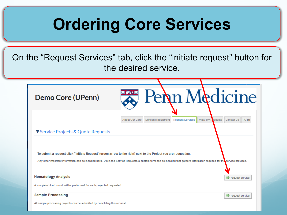## **Ordering Core Services**

On the "Request Services" tab, click the "initiate request" button for the desired service.

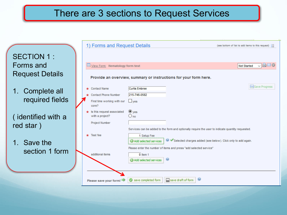#### There are 3 sections to Request Services

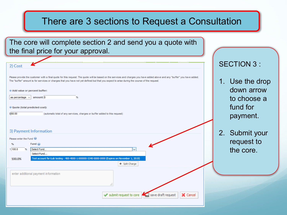#### There are 3 sections to Request a Consultation

The core will complete section 2 and send you a quote with the final price for your approval.

| 2) Cost                                                                                                                                                                                                                                                                                                                                                                                                                                                                                                                                     | <b>SECTION 3:</b>                                                    |
|---------------------------------------------------------------------------------------------------------------------------------------------------------------------------------------------------------------------------------------------------------------------------------------------------------------------------------------------------------------------------------------------------------------------------------------------------------------------------------------------------------------------------------------------|----------------------------------------------------------------------|
| Please provide the customer with a final quote for this request. The quote will be based on the services and charges you have added above and any "buffer" you have added.<br>The "buffer" amount is for services or charges that you have not yet defined but that you expect to arise during the course of the request.<br>Add value or percent buffer:<br>amount: 0<br>$\frac{9}{6}$<br>as percentage $\vee$<br>© Quote (total predicted cost):<br>\$60.00<br>(automatic total of any services, charges or buffer added to this request) | 1. Use the drop<br>down arrow<br>to choose a<br>fund for<br>payment. |
| 3) Payment Information<br>Please enter the Fund<br>Fund $\odot$<br>$\%$                                                                                                                                                                                                                                                                                                                                                                                                                                                                     | Submit your<br>2.<br>request to                                      |
| 1 100.0<br>Select Fund<br>$\frac{9}{6}$<br>$\checkmark$<br>Select Fund                                                                                                                                                                                                                                                                                                                                                                                                                                                                      | the core.                                                            |
| Test account for iLab testing - 400-4000-1-000000-5340-0000-0000 (Expires on November 1, 2019)<br>100.0%<br>+ Split Charge<br>enter additional payment information<br>a.                                                                                                                                                                                                                                                                                                                                                                    |                                                                      |
| X Cancel<br>submit request to core<br>save draft request                                                                                                                                                                                                                                                                                                                                                                                                                                                                                    |                                                                      |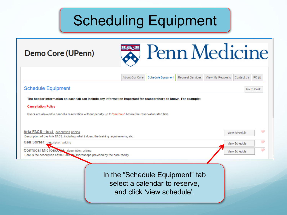## Scheduling Equipment

About Our Core

#### Demo Core (UPenn)



Request Services

View My Requests Contact Us

PO (1)

**Schedule Equipment** Go to Kiosk The header information on each tab can include any information important for reasearchers to know. For example: **Cancellation Policy** Users are allowed to cancel a reservation without penalty up to 'one hour' before the reservation start time. **Aria FACS - test** description pricing View Schedule Description of the Aria FACS, including what it does, the training requirements, etc. **Cell Sorter** description pricing View Schedule **Confocal Microscope** description pricing View Schedule Here is the description of the Compessi Microscope provided by the core facility. In the "Schedule Equipment" tab select a calendar to reserve, and click 'view schedule'.

Schedule Equipment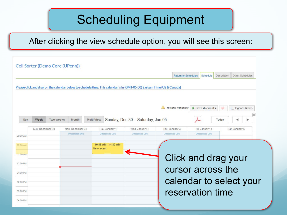## Scheduling Equipment

After clicking the view schedule option, you will see this screen:

|          |                  |           | Cell Sorter (Demo Core (UPenn)) |            |                       |                                                                                                                          |                       |                                                |                       |             |                         |
|----------|------------------|-----------|---------------------------------|------------|-----------------------|--------------------------------------------------------------------------------------------------------------------------|-----------------------|------------------------------------------------|-----------------------|-------------|-------------------------|
|          |                  |           |                                 |            |                       |                                                                                                                          |                       | Return to Schedules                            | Schedule              | Description | Other Schedules         |
|          |                  |           |                                 |            |                       | Please click and drag on the calendar below to schedule time. This calendar is in (GMT-05:00) Eastern Time (US & Canada) |                       |                                                |                       |             |                         |
|          |                  |           |                                 |            |                       |                                                                                                                          |                       | refresh frequently <b>&amp;</b> refresh events |                       |             | 三 legends & help        |
| Day      | Week             | Two weeks | Month                           | Multi View |                       | Sunday, Dec 30 - Saturday, Jan 05                                                                                        |                       |                                                |                       | Today       |                         |
|          | Sun, December 30 |           | Mon, December 31                |            | Tue, January 1        | Wed, January 2                                                                                                           | Thu, January 3        |                                                | Fri, January 4        |             | Sat, January 5          |
| 09:00 AM |                  |           | <b>Unassisted Use</b>           |            | <b>Unassisted Use</b> | <b>Unassisted Use</b>                                                                                                    | <b>Unassisted Use</b> |                                                | <b>Unassisted Use</b> |             |                         |
| 10:00 AM |                  |           |                                 | New event  | 10:15 AM - 11:30 AM   |                                                                                                                          |                       |                                                |                       |             |                         |
| 11:00 AM |                  |           |                                 |            |                       |                                                                                                                          |                       |                                                |                       |             |                         |
| 12:00 PM |                  |           |                                 |            |                       |                                                                                                                          |                       | Click and drag your                            |                       |             |                         |
| 01:00 PM |                  |           |                                 |            |                       |                                                                                                                          |                       | cursor across the                              |                       |             |                         |
| 02:00 PM |                  |           |                                 |            |                       |                                                                                                                          |                       |                                                |                       |             | calendar to select your |
| 03:00 PM |                  |           |                                 |            |                       |                                                                                                                          |                       | reservation time                               |                       |             |                         |
| 04:00 PM |                  |           |                                 |            |                       |                                                                                                                          |                       |                                                |                       |             |                         |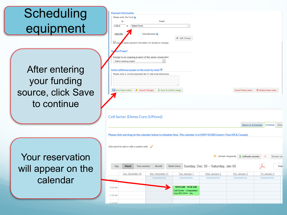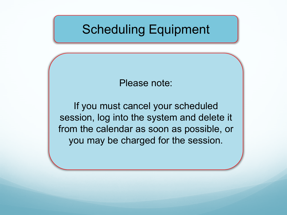## Scheduling Equipment

Please note:

If you must cancel your scheduled session, log into the system and delete it from the calendar as soon as possible, or you may be charged for the session.